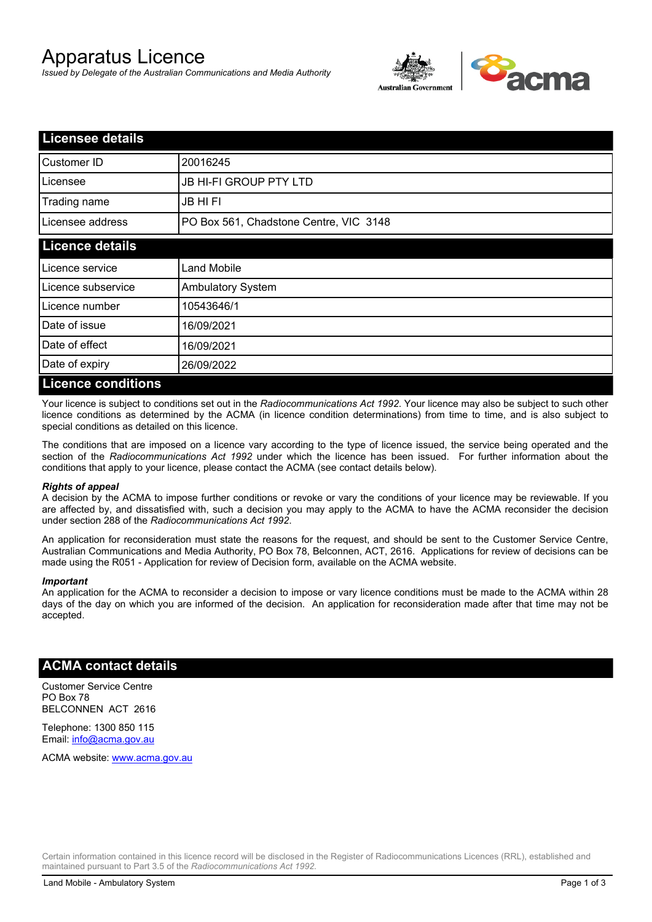# Apparatus Licence

*Issued by Delegate of the Australian Communications and Media Authority*



| <b>Licensee details</b>   |                                        |  |
|---------------------------|----------------------------------------|--|
| Customer ID               | 20016245                               |  |
| Licensee                  | <b>JB HI-FI GROUP PTY LTD</b>          |  |
| Trading name              | <b>JB HIFI</b>                         |  |
| Licensee address          | PO Box 561, Chadstone Centre, VIC 3148 |  |
| <b>Licence details</b>    |                                        |  |
| Licence service           | <b>Land Mobile</b>                     |  |
| Licence subservice        | Ambulatory System                      |  |
| Licence number            | 10543646/1                             |  |
| Date of issue             | 16/09/2021                             |  |
| Date of effect            | 16/09/2021                             |  |
| Date of expiry            | 26/09/2022                             |  |
| <b>Licence conditions</b> |                                        |  |

Your licence is subject to conditions set out in the *Radiocommunications Act 1992*. Your licence may also be subject to such other licence conditions as determined by the ACMA (in licence condition determinations) from time to time, and is also subject to special conditions as detailed on this licence.

The conditions that are imposed on a licence vary according to the type of licence issued, the service being operated and the section of the *Radiocommunications Act 1992* under which the licence has been issued. For further information about the conditions that apply to your licence, please contact the ACMA (see contact details below).

#### *Rights of appeal*

A decision by the ACMA to impose further conditions or revoke or vary the conditions of your licence may be reviewable. If you are affected by, and dissatisfied with, such a decision you may apply to the ACMA to have the ACMA reconsider the decision under section 288 of the *Radiocommunications Act 1992*.

An application for reconsideration must state the reasons for the request, and should be sent to the Customer Service Centre, Australian Communications and Media Authority, PO Box 78, Belconnen, ACT, 2616. Applications for review of decisions can be made using the R051 - Application for review of Decision form, available on the ACMA website.

#### *Important*

An application for the ACMA to reconsider a decision to impose or vary licence conditions must be made to the ACMA within 28 days of the day on which you are informed of the decision. An application for reconsideration made after that time may not be accepted.

### **ACMA contact details**

Customer Service Centre PO Box 78 BELCONNEN ACT 2616

Telephone: 1300 850 115 Email: info@acma.gov.au

ACMA website: www.acma.gov.au

Certain information contained in this licence record will be disclosed in the Register of Radiocommunications Licences (RRL), established and maintained pursuant to Part 3.5 of the *Radiocommunications Act 1992.*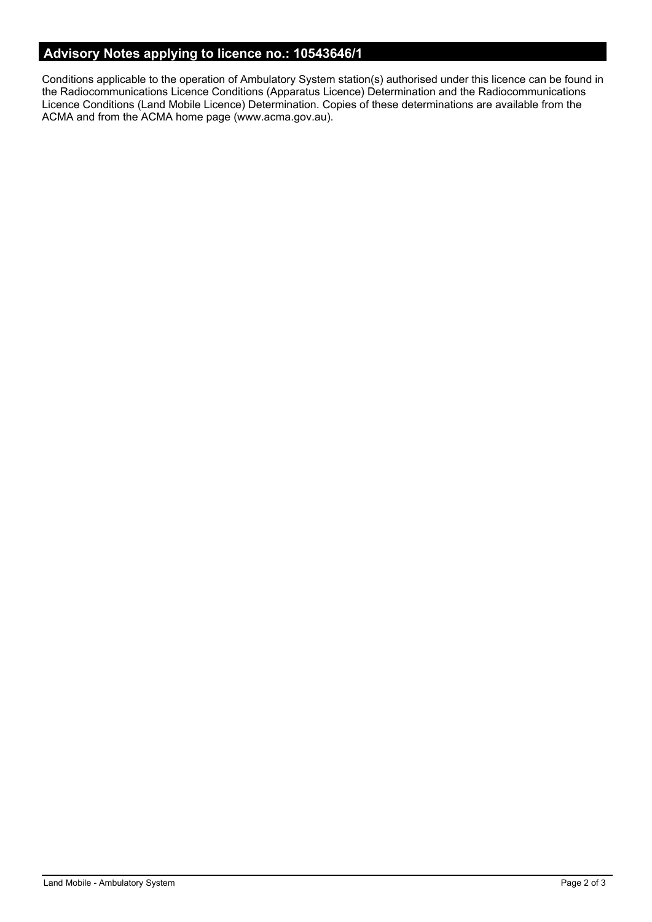# **Advisory Notes applying to licence no.: 10543646/1**

Conditions applicable to the operation of Ambulatory System station(s) authorised under this licence can be found in the Radiocommunications Licence Conditions (Apparatus Licence) Determination and the Radiocommunications Licence Conditions (Land Mobile Licence) Determination. Copies of these determinations are available from the ACMA and from the ACMA home page (www.acma.gov.au).